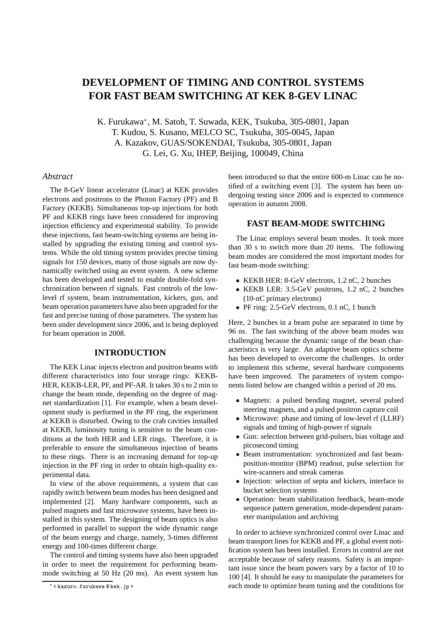# **DEVELOPMENT OF TIMING AND CONTROL SYSTEMS FOR FAST BEAM SWITCHING AT KEK 8-GEV LINAC**

K. Furukawa<sup>∗</sup> , M. Satoh, T. Suwada, KEK, Tsukuba, 305-0801, Japan T. Kudou, S. Kusano, MELCO SC, Tsukuba, 305-0045, Japan A. Kazakov, GUAS/SOKENDAI, Tsukuba, 305-0801, Japan G. Lei, G. Xu, IHEP, Beijing, 100049, China

### *Abstract*

The 8-GeV linear accelerator (Linac) at KEK provides electrons and positrons to the Photon Factory (PF) and B Factory (KEKB). Simultaneous top-up injections for both PF and KEKB rings have been considered for improving injection efficiency and experimental stability. To provide these injections, fast beam-switching systems are being installed by upgrading the existing timing and control systems. While the old timing system provides precise timing signals for 150 devices, many of those signals are now dynamically switched using an event system. A new scheme has been developed and tested to enable double-fold synchronization between rf signals. Fast controls of the lowlevel rf system, beam instrumentation, kickers, gun, and beam operation parameters have also been upgraded for the fast and precise tuning of those parameters. The system has been under development since 2006, and is being deployed for beam operation in 2008.

## **INTRODUCTION**

The KEK Linac injects electron and positron beams with different characteristics into four storage rings: KEKB-HER, KEKB-LER, PF, and PF-AR. It takes 30 s to 2 min to change the beam mode, depending on the degree of magnet standardization [1]. For example, when a beam development study is performed in the PF ring, the experiment at KEKB is disturbed. Owing to the crab cavities installed at KEKB, luminosity tuning is sensitive to the beam conditions at the both HER and LER rings. Therefore, it is preferable to ensure the simultaneous injection of beams to these rings. There is an increasing demand for top-up injection in the PF ring in order to obtain high-quality experimental data.

In view of the above requirements, a system that can rapidly switch between beam modes has been designed and implemented [2]. Many hardware components, such as pulsed magnets and fast microwave systems, have been installed in this system. The designing of beam optics is also performed in parallel to support the wide dynamic range of the beam energy and charge, namely, 3-times different energy and 100-times different charge.

The control and timing systems have also been upgraded in order to meet the requirement for performing beammode switching at 50 Hz (20 ms). An event system has been introduced so that the entire 600-m Linac can be notified of a switching event [3]. The system has been undergoing testing since 2006 and is expected to commence operation in autumn 2008.

## **FAST BEAM-MODE SWITCHING**

The Linac employs several beam modes. It took more than 30 s to switch more than 20 items. The following beam modes are considered the most important modes for fast beam-mode switching:

- KEKB HER: 8-GeV electrons, 1.2 nC, 2 bunches
- KEKB LER: 3.5-GeV positrons, 1.2 nC, 2 bunches (10-nC primary electrons)
- PF ring: 2.5-GeV electrons, 0.1 nC, 1 bunch

Here, 2 bunches in a beam pulse are separated in time by 96 ns. The fast switching of the above beam modes was challenging because the dynamic range of the beam characteristics is very large. An adaptive beam optics scheme has been developed to overcome the challenges. In order to implement this scheme, several hardware components have been improved. The parameters of system components listed below are changed within a period of 20 ms.

- Magnets: a pulsed bending magnet, several pulsed steering magnets, and a pulsed positron capture coil
- Microwave: phase and timing of low-level rf (LLRF) signals and timing of high-power rf signals
- Gun: selection between grid-pulsers, bias voltage and picosecond timing
- Beam instrumentation: synchronized and fast beamposition-monitor (BPM) readout, pulse selection for wire-scanners and streak cameras
- Injection: selection of septa and kickers, interface to bucket selection systems
- Operation: beam stabilization feedback, beam-mode sequence pattern generation, mode-dependent parameter manipulation and archiving

In order to achieve synchronized control over Linac and beam transport lines for KEKB and PF, a global event notification system has been installed. Errors in control are not acceptable because of safety reasons. Safety is an important issue since the beam powers vary by a factor of 10 to 100 [4]. It should be easy to manipulate the parameters for each mode to optimize beam tuning and the conditions for

<sup>∗</sup> < kazuro.furukawa @ kek.jp >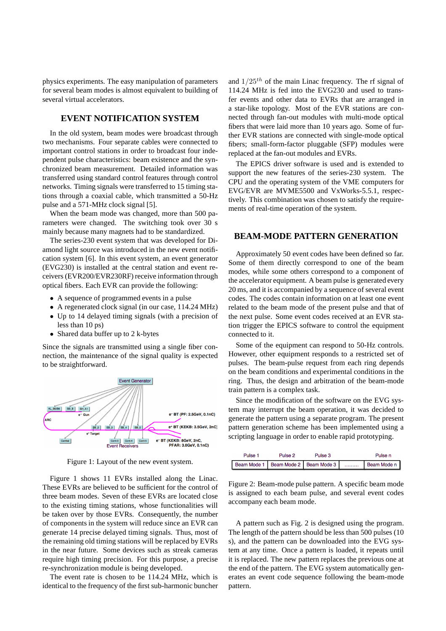physics experiments. The easy manipulation of parameters for several beam modes is almost equivalent to building of several virtual accelerators.

## **EVENT NOTIFICATION SYSTEM**

In the old system, beam modes were broadcast through two mechanisms. Four separate cables were connected to important control stations in order to broadcast four independent pulse characteristics: beam existence and the synchronized beam measurement. Detailed information was transferred using standard control features through control networks. Timing signals were transferred to 15 timing stations through a coaxial cable, which transmitted a 50-Hz pulse and a 571-MHz clock signal [5].

When the beam mode was changed, more than 500 parameters were changed. The switching took over 30 s mainly because many magnets had to be standardized.

The series-230 event system that was developed for Diamond light source was introduced in the new event notification system [6]. In this event system, an event generator (EVG230) is installed at the central station and event receivers (EVR200/EVR230RF) receive information through optical fibers. Each EVR can provide the following:

- A sequence of programmed events in a pulse
- A regenerated clock signal (in our case, 114.24 MHz)
- Up to 14 delayed timing signals (with a precision of less than 10 ps)
- Shared data buffer up to 2 k-bytes

Since the signals are transmitted using a single fiber connection, the maintenance of the signal quality is expected to be straightforward.



Figure 1: Layout of the new event system.

Figure 1 shows 11 EVRs installed along the Linac. These EVRs are believed to be sufficient for the control of three beam modes. Seven of these EVRs are located close to the existing timing stations, whose functionalities will be taken over by those EVRs. Consequently, the number of components in the system will reduce since an EVR can generate 14 precise delayed timing signals. Thus, most of the remaining old timing stations will be replaced by EVRs in the near future. Some devices such as streak cameras require high timing precision. For this purpose, a precise re-synchronization module is being developed.

The event rate is chosen to be 114.24 MHz, which is identical to the frequency of the first sub-harmonic buncher and  $1/25^{th}$  of the main Linac frequency. The rf signal of 114.24 MHz is fed into the EVG230 and used to transfer events and other data to EVRs that are arranged in a star-like topology. Most of the EVR stations are connected through fan-out modules with multi-mode optical fibers that were laid more than 10 years ago. Some of further EVR stations are connected with single-mode optical fibers; small-form-factor pluggable (SFP) modules were replaced at the fan-out modules and EVRs.

The EPICS driver software is used and is extended to support the new features of the series-230 system. The CPU and the operating system of the VME computers for EVG/EVR are MVME5500 and VxWorks-5.5.1, respectively. This combination was chosen to satisfy the requirements of real-time operation of the system.

## **BEAM-MODE PATTERN GENERATION**

Approximately 50 event codes have been defined so far. Some of them directly correspond to one of the beam modes, while some others correspond to a component of the accelerator equipment. A beam pulse is generated every 20 ms, and it is accompanied by a sequence of several event codes. The codes contain information on at least one event related to the beam mode of the present pulse and that of the next pulse. Some event codes received at an EVR station trigger the EPICS software to control the equipment connected to it.

Some of the equipment can respond to 50-Hz controls. However, other equipment responds to a restricted set of pulses. The beam-pulse request from each ring depends on the beam conditions and experimental conditions in the ring. Thus, the design and arbitration of the beam-mode train pattern is a complex task.

Since the modification of the software on the EVG system may interrupt the beam operation, it was decided to generate the pattern using a separate program. The present pattern generation scheme has been implemented using a scripting language in order to enable rapid prototyping.

| Pulse <sub>1</sub> | Pulse <sub>2</sub>                                       | Pulse 3 | Pulse <sub>n</sub> |
|--------------------|----------------------------------------------------------|---------|--------------------|
|                    | Beam Mode 1   Beam Mode 2   Beam Mode 3      Beam Mode n |         |                    |

Figure 2: Beam-mode pulse pattern. A specific beam mode is assigned to each beam pulse, and several event codes accompany each beam mode.

A pattern such as Fig. 2 is designed using the program. The length of the pattern should be less than 500 pulses (10 s), and the pattern can be downloaded into the EVG system at any time. Once a pattern is loaded, it repeats until it is replaced. The new pattern replaces the previous one at the end of the pattern. The EVG system automatically generates an event code sequence following the beam-mode pattern.